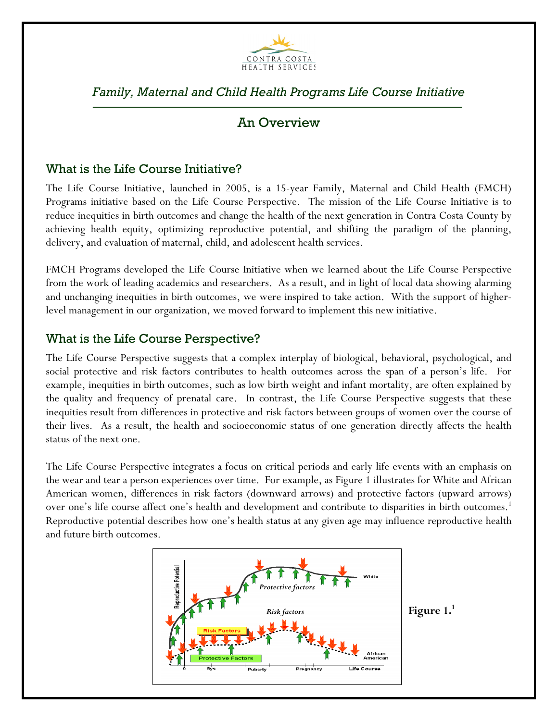

# *Family, Maternal and Child Health Programs Life Course Initiative*

## An Overview

## What is the Life Course Initiative?

The Life Course Initiative, launched in 2005, is a 15-year Family, Maternal and Child Health (FMCH) Programs initiative based on the Life Course Perspective. The mission of the Life Course Initiative is to reduce inequities in birth outcomes and change the health of the next generation in Contra Costa County by achieving health equity, optimizing reproductive potential, and shifting the paradigm of the planning, delivery, and evaluation of maternal, child, and adolescent health services.

FMCH Programs developed the Life Course Initiative when we learned about the Life Course Perspective from the work of leading academics and researchers. As a result, and in light of local data showing alarming and unchanging inequities in birth outcomes, we were inspired to take action. With the support of higherlevel management in our organization, we moved forward to implement this new initiative.

#### What is the Life Course Perspective?

The Life Course Perspective suggests that a complex interplay of biological, behavioral, psychological, and social protective and risk factors contributes to health outcomes across the span of a person's life. For example, inequities in birth outcomes, such as low birth weight and infant mortality, are often explained by the quality and frequency of prenatal care. In contrast, the Life Course Perspective suggests that these inequities result from differences in protective and risk factors between groups of women over the course of their lives. As a result, the health and socioeconomic status of one generation directly affects the health status of the next one.

The Life Course Perspective integrates a focus on critical periods and early life events with an emphasis on the wear and tear a person experiences over time. For example, as Figure 1 illustrates for White and African American women, differences in risk factors (downward arrows) and protective factors (upward arrows) over one's life course affect one's health and development and contribute to disparities in birth outcomes. 1 Reproductive potential describes how one's health status at any given age may influence reproductive health and future birth outcomes.